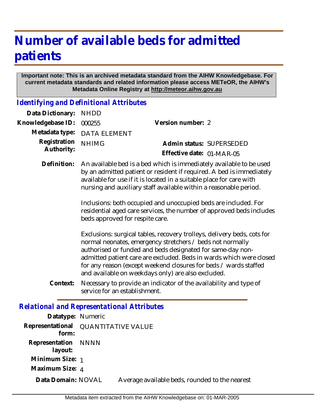## **Number of available beds for admitted patients**

## **Important note: This is an archived metadata standard from the AIHW Knowledgebase. For current metadata standards and related information please access METeOR, the AIHW's Metadata Online Registry at http://meteor.aihw.gov.au**

*Identifying and Definitional Attributes*

**Representation** NNNN  **layout: Minimum Size:** 1 **Maximum Size:** 4

**Data Domain:**

| Data Dictionary:                                  | <b>NHDD</b>                                                                                                                                                                                                                                                                              |                                                                                                                                                                                                                                                                                                                                                                                                     |
|---------------------------------------------------|------------------------------------------------------------------------------------------------------------------------------------------------------------------------------------------------------------------------------------------------------------------------------------------|-----------------------------------------------------------------------------------------------------------------------------------------------------------------------------------------------------------------------------------------------------------------------------------------------------------------------------------------------------------------------------------------------------|
| Knowledgebase ID:                                 | 000255                                                                                                                                                                                                                                                                                   | Version number: 2                                                                                                                                                                                                                                                                                                                                                                                   |
| Metadata type:                                    | <b>DATA ELEMENT</b>                                                                                                                                                                                                                                                                      |                                                                                                                                                                                                                                                                                                                                                                                                     |
| Registration<br>Authority:                        | <b>NHIMG</b>                                                                                                                                                                                                                                                                             | Admin status: SUPERSEDED<br>Effective date: 01-MAR-05                                                                                                                                                                                                                                                                                                                                               |
| Definition:                                       | An available bed is a bed which is immediately available to be used<br>by an admitted patient or resident if required. A bed is immediately<br>available for use if it is located in a suitable place for care with<br>nursing and auxiliary staff available within a reasonable period. |                                                                                                                                                                                                                                                                                                                                                                                                     |
|                                                   | beds approved for respite care.                                                                                                                                                                                                                                                          | Inclusions: both occupied and unoccupied beds are included. For<br>residential aged care services, the number of approved beds includes                                                                                                                                                                                                                                                             |
|                                                   |                                                                                                                                                                                                                                                                                          | Exclusions: surgical tables, recovery trolleys, delivery beds, cots for<br>normal neonates, emergency stretchers / beds not normally<br>authorised or funded and beds designated for same-day non-<br>admitted patient care are excluded. Beds in wards which were closed<br>for any reason (except weekend closures for beds / wards staffed<br>and available on weekdays only) are also excluded. |
| Context:                                          | service for an establishment.                                                                                                                                                                                                                                                            | Necessary to provide an indicator of the availability and type of                                                                                                                                                                                                                                                                                                                                   |
| <b>Relational and Representational Attributes</b> |                                                                                                                                                                                                                                                                                          |                                                                                                                                                                                                                                                                                                                                                                                                     |
| Datatype: Numeric                                 |                                                                                                                                                                                                                                                                                          |                                                                                                                                                                                                                                                                                                                                                                                                     |
| Representational<br>form:                         | <b>QUANTITATIVE VALUE</b>                                                                                                                                                                                                                                                                |                                                                                                                                                                                                                                                                                                                                                                                                     |

Metadata item extracted from the AIHW Knowledgebase on: 01-MAR-2005

Average available beds, rounded to the nearest